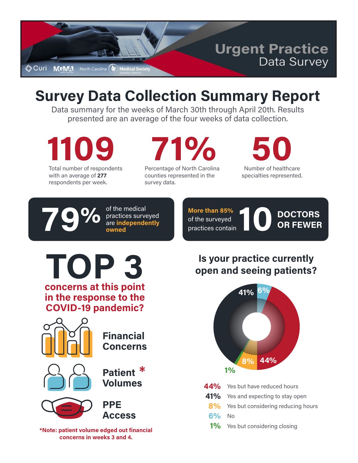

# **Survey Data Collection Summary Report**

Data summary for the weeks of March 30th through April 20th. Results presented are an average of the four weeks of data collection.

**1109** Total number of respondents

with an average of **277** respondents per week. **71%**

Percentage of North Carolina counties represented in the survey data.

Number of healthcare **50**

specialties represented.

**79%** of the medical practices surve<br>are independed owned practices surveyed are **independently**

**More than 85%** of the surveyed practices contain

of the medical<br>practices surveyed<br>are **independently** of the surveyed<br>practices contain<br>practices contain<br> $\begin{array}{|c|c|c|}\n\hline\n\textbf{DOC} & \textbf{DOC} & \textbf{DOC} \\ \hline\n\textbf{one} & \textbf{one} \\ \textbf{two} & \textbf{two} \\ \hline\n\end{array}$ **OR FEWER**

**TOP 3 concerns at this point in the response to the COVID-19 pandemic?**



**Financial Concerns**



**Patient \***

**Volumes**



**PPE Access**

**\*Note: patient volume edged out financial concerns in weeks 3 and 4.**

## **Is your practice currently open and seeing patients?**



| 41% |  | Yes and expecting to stay open |  |  |  |
|-----|--|--------------------------------|--|--|--|
|-----|--|--------------------------------|--|--|--|

- **8%** Yes but considering reducing hours
- **6%** No

1% Yes but considering closing